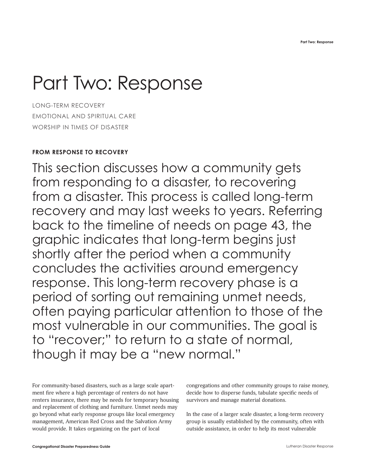# Part Two: Response

LONG-TERM RECOVERY EMOTIONAL AND SPIRITUAL CARE WORSHIP IN TIMES OF DISASTER

# **FROM RESPONSE TO RECOVERY**

This section discusses how a community gets from responding to a disaster, to recovering from a disaster. This process is called long-term recovery and may last weeks to years. Referring back to the timeline of needs on page 43, the graphic indicates that long-term begins just shortly after the period when a community concludes the activities around emergency response. This long-term recovery phase is a period of sorting out remaining unmet needs, often paying particular attention to those of the most vulnerable in our communities. The goal is to "recover;" to return to a state of normal, though it may be a "new normal."

For community-based disasters, such as a large scale apartment fire where a high percentage of renters do not have renters insurance, there may be needs for temporary housing and replacement of clothing and furniture. Unmet needs may go beyond what early response groups like local emergency management, American Red Cross and the Salvation Army would provide. It takes organizing on the part of local

congregations and other community groups to raise money, decide how to disperse funds, tabulate specific needs of survivors and manage material donations.

In the case of a larger scale disaster, a long-term recovery group is usually established by the community, often with outside assistance, in order to help its most vulnerable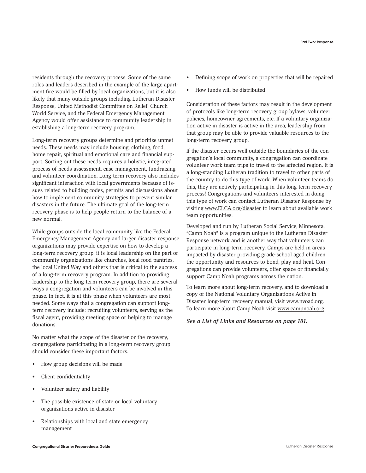residents through the recovery process. Some of the same roles and leaders described in the example of the large apartment fire would be filled by local organizations, but it is also likely that many outside groups including Lutheran Disaster Response, United Methodist Committee on Relief, Church World Service, and the Federal Emergency Management Agency would offer assistance to community leadership in establishing a long-term recovery program.

Long-term recovery groups determine and prioritize unmet needs. These needs may include housing, clothing, food, home repair, spiritual and emotional care and financial support. Sorting out these needs requires a holistic, integrated process of needs assessment, case management, fundraising and volunteer coordination. Long-term recovery also includes significant interaction with local governments because of issues related to building codes, permits and discussions about how to implement community strategies to prevent similar disasters in the future. The ultimate goal of the long-term recovery phase is to help people return to the balance of a new normal.

While groups outside the local community like the Federal Emergency Management Agency and larger disaster response organizations may provide expertise on how to develop a long-term recovery group, it is local leadership on the part of community organizations like churches, local food pantries, the local United Way and others that is critical to the success of a long-term recovery program. In addition to providing leadership to the long-term recovery group, there are several ways a congregation and volunteers can be involved in this phase. In fact, it is at this phase when volunteers are most needed. Some ways that a congregation can support longterm recovery include: recruiting volunteers, serving as the fiscal agent, providing meeting space or helping to manage donations.

No matter what the scope of the disaster or the recovery, congregations participating in a long-term recovery group should consider these important factors.

- How group decisions will be made
- Client confidentiality
- Volunteer safety and liability
- The possible existence of state or local voluntary organizations active in disaster
- Relationships with local and state emergency management
- Defining scope of work on properties that will be repaired
- How funds will be distributed

Consideration of these factors may result in the development of protocols like long-term recovery group bylaws, volunteer policies, homeowner agreements, etc. If a voluntary organization active in disaster is active in the area, leadership from that group may be able to provide valuable resources to the long-term recovery group.

If the disaster occurs well outside the boundaries of the congregation's local community, a congregation can coordinate volunteer work team trips to travel to the affected region. It is a long-standing Lutheran tradition to travel to other parts of the country to do this type of work. When volunteer teams do this, they are actively participating in this long-term recovery process! Congregations and volunteers interested in doing this type of work can contact Lutheran Disaster Response by visiting www.ELCA.org/disaster to learn about available work team opportunities.

Developed and run by Lutheran Social Service, Minnesota, "Camp Noah" is a program unique to the Lutheran Disaster Response network and is another way that volunteers can participate in long-term recovery. Camps are held in areas impacted by disaster providing grade-school aged children the opportunity and resources to bond, play and heal. Congregations can provide volunteers, offer space or financially support Camp Noah programs across the nation.

To learn more about long-term recovery, and to download a copy of the National Voluntary Organizations Active in Disaster long-term recovery manual, visit www.nvoad.org. To learn more about Camp Noah visit www.campnoah.org.

*See a List of Links and Resources on page 101.*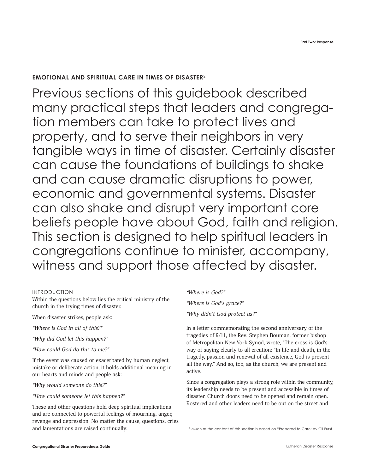# **EMOTIONAL AND SPIRITUAL CARE IN TIMES OF DISASTER**<sup>2</sup>

Previous sections of this guidebook described many practical steps that leaders and congregation members can take to protect lives and property, and to serve their neighbors in very tangible ways in time of disaster. Certainly disaster can cause the foundations of buildings to shake and can cause dramatic disruptions to power, economic and governmental systems. Disaster can also shake and disrupt very important core beliefs people have about God, faith and religion. This section is designed to help spiritual leaders in congregations continue to minister, accompany, witness and support those affected by disaster.

#### INTRODUCTION

Within the questions below lies the critical ministry of the church in the trying times of disaster.

When disaster strikes, people ask:

*"Where is God in all of this?"*

*"Why did God let this happen?"*

*"How could God do this to me?"*

If the event was caused or exacerbated by human neglect, mistake or deliberate action, it holds additional meaning in our hearts and minds and people ask:

*"Why would someone do this?"* 

#### *"How could someone let this happen?"*

These and other questions hold deep spiritual implications and are connected to powerful feelings of mourning, anger, revenge and depression. No matter the cause, questions, cries and lamentations are raised continually:

# *"Where is God?"*

*"Where is God's grace?" "Why didn't God protect us?"*

In a letter commemorating the second anniversary of the tragedies of 9/11, the Rev. Stephen Bouman, former bishop of Metropolitan New York Synod, wrote, "The cross is God's way of saying clearly to all creation: "In life and death, in the tragedy, passion and renewal of all existence, God is present all the way." And so, too, as the church, we are present and active.

Since a congregation plays a strong role within the community, its leadership needs to be present and accessible in times of disaster. Church doors need to be opened and remain open. Rostered and other leaders need to be out on the street and

<sup>&</sup>lt;sup>2</sup> Much of the content of this section is based on "Prepared to Care: by Gil Furst.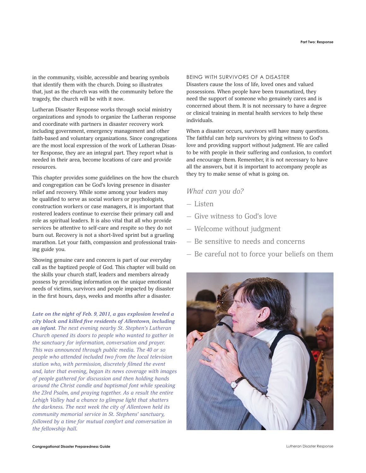in the community, visible, accessible and bearing symbols that identify them with the church. Doing so illustrates that, just as the church was with the community before the tragedy, the church will be with it now.

Lutheran Disaster Response works through social ministry organizations and synods to organize the Lutheran response and coordinate with partners in disaster recovery work including government, emergency management and other faith-based and voluntary organizations. Since congregations are the most local expression of the work of Lutheran Disaster Response, they are an integral part. They report what is needed in their area, become locations of care and provide resources.

This chapter provides some guidelines on the how the church and congregation can be God's loving presence in disaster relief and recovery. While some among your leaders may be qualified to serve as social workers or psychologists, construction workers or case managers, it is important that rostered leaders continue to exercise their primary call and role as spiritual leaders. It is also vital that all who provide services be attentive to self-care and respite so they do not burn out. Recovery is not a short-lived sprint but a grueling marathon. Let your faith, compassion and professional training guide you.

Showing genuine care and concern is part of our everyday call as the baptized people of God. This chapter will build on the skills your church staff, leaders and members already possess by providing information on the unique emotional needs of victims, survivors and people impacted by disaster in the first hours, days, weeks and months after a disaster.

*Late on the night of Feb. 9, 2011, a gas explosion leveled a city block and killed five residents of Allentown, including an infant. The next evening nearby St. Stephen's Lutheran Church opened its doors to people who wanted to gather in the sanctuary for information, conversation and prayer. This was announced through public media. The 40 or so people who attended included two from the local television station who, with permission, discretely filmed the event and, later that evening, began its news coverage with images of people gathered for discussion and then holding hands around the Christ candle and baptismal font while speaking the 23rd Psalm, and praying together. As a result the entire Lehigh Valley had a chance to glimpse light that shatters the darkness. The next week the city of Allentown held its community memorial service in St. Stephens' sanctuary, followed by a time for mutual comfort and conversation in the fellowship hall.*

#### BEING WITH SURVIVORS OF A DISASTER

Disasters cause the loss of life, loved ones and valued possessions. When people have been traumatized, they need the support of someone who genuinely cares and is concerned about them. It is not necessary to have a degree or clinical training in mental health services to help these individuals.

When a disaster occurs, survivors will have many questions. The faithful can help survivors by giving witness to God's love and providing support without judgment. We are called to be with people in their suffering and confusion, to comfort and encourage them. Remember, it is not necessary to have all the answers, but it is important to accompany people as they try to make sense of what is going on.

# *What can you do?*

- Listen
- Give witness to God's love
- Welcome without judgment
- Be sensitive to needs and concerns
- Be careful not to force your beliefs on them

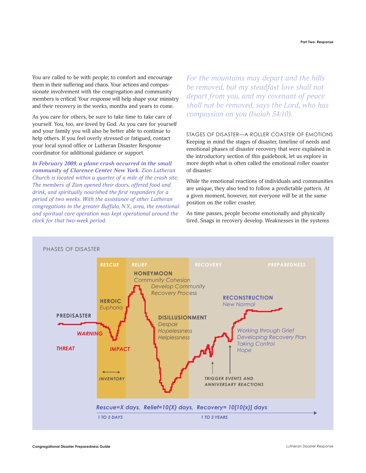You are called to be with people; to comfort and encourage them in their suffering and chaos. Your actions and compassionate involvement with the congregation and community members is critical. Your response will help shape your ministry and their recovery in the weeks, months and years to come.

As you care for others, be sure to take time to take care of yourself. You, too, are loved by God. As you care for yourself and your family you will also be better able to continue to help others. If you feel overly stressed or fatigued, contact your local synod office or Lutheran Disaster Response coordinator for additional guidance or support.

*In February 2009, a plane crash occurred in the small community of Clarence Center New York. Zion Lutheran Church is located within a quarter of a mile of the crash site. The members of Zion opened their doors, offered food and drink, and spiritually nourished the first responders for a period of two weeks. With the assistance of other Lutheran congregations in the greater Buffalo, N.Y., area, the emotional and spiritual care operation was kept operational around the clock for that two-week period.*

*For the mountains may depart and the hills be removed, but my steadfast love shall not depart from you, and my covenant of peace shall not be removed, says the Lord, who has compassion on you (Isaiah 54:10).*

STAGES OF DISASTER—A ROLLER COASTER OF EMOTIONS Keeping in mind the stages of disaster, timeline of needs and emotional phases of disaster recovery that were explained in the introductory section of this guidebook, let us explore in more depth what is often called the emotional roller coaster of disaster.

While the emotional reactions of individuals and communities are unique, they also tend to follow a predictable pattern. At a given moment, however, not everyone will be at the same position on the roller coaster.

As time passes, people become emotionally and physically tired. Snags in recovery develop. Weaknesses in the systems

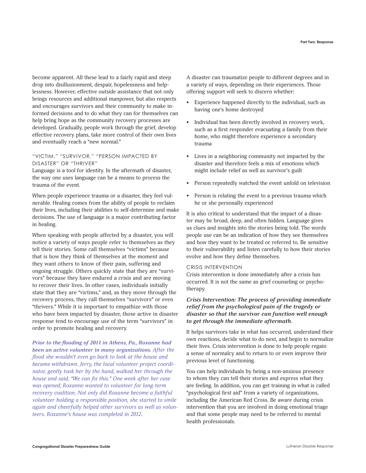become apparent. All these lead to a fairly rapid and steep drop into disillusionment, despair, hopelessness and helplessness. However, effective outside assistance that not only brings resources and additional manpower, but also respects and encourages survivors and their community to make informed decisions and to do what they can for themselves can help bring hope as the community recovery processes are developed. Gradually, people work through the grief, develop effective recovery plans, take more control of their own lives and eventually reach a "new normal."

## "VICTIM," "SURVIVOR," "PERSON IMPACTED BY DISASTER" OR "THRIVER"

Language is a tool for identity. In the aftermath of disaster, the way one uses language can be a means to process the trauma of the event.

When people experience trauma or a disaster, they feel vulnerable. Healing comes from the ability of people to reclaim their lives, including their abilities to self-determine and make decisions. The use of language is a major contributing factor in healing.

When speaking with people affected by a disaster, you will notice a variety of ways people refer to themselves as they tell their stories. Some call themselves "victims" because that is how they think of themselves at the moment and they want others to know of their pain, suffering and ongoing struggle. Others quickly state that they are "survivors" because they have endured a crisis and are moving to recover their lives. In other cases, individuals initially state that they are "victims," and, as they move through the recovery process, they call themselves "survivors" or even "thrivers." While it is important to empathize with those who have been impacted by disaster, those active in disaster response tend to encourage use of the term "survivors" in order to promote healing and recovery.

*Prior to the flooding of 2011 in Athens, Pa., Roxanne had been an active volunteer in many organizations. After the flood she wouldn't even go back to look at the house and became withdrawn. Jerry, the local volunteer project coordinator, gently took her by the hand, walked her through the house and said, "We can fix this." One week after her case was opened; Roxanne wanted to volunteer for long-term recovery coalition. Not only did Roxanne become a faithful volunteer holding a responsible position, she started to smile again and cheerfully helped other survivors as well as volunteers. Roxanne's house was completed in 2012.* 

A disaster can traumatize people to different degrees and in a variety of ways, depending on their experiences. Those offering support will seek to discern whether:

- Experience happened directly to the individual, such as having one's home destroyed
- Individual has been directly involved in recovery work, such as a first responder evacuating a family from their home, who might therefore experience a secondary trauma
- Lives in a neighboring community not impacted by the disaster and therefore feels a mix of emotions which might include relief as well as survivor's guilt
- Person repeatedly watched the event unfold on television
- Person is relating the event to a previous trauma which he or she personally experienced

It is also critical to understand that the impact of a disaster may be broad, deep, and often hidden. Language gives us clues and insights into the stories being told. The words people use can be an indication of how they see themselves and how they want to be treated or referred to. Be sensitive to their vulnerability and listen carefully to how their stories evolve and how they define themselves.

#### CRISIS INTERVENTION

Crisis intervention is done immediately after a crisis has occurred. It is not the same as grief counseling or psychotherapy.

# *Crisis Intervention: The process of providing immediate relief from the psychological pain of the tragedy or disaster so that the survivor can function well enough to get through the immediate aftermath.*

It helps survivors take in what has occurred, understand their own reactions, decide what to do next, and begin to normalize their lives. Crisis intervention is done to help people regain a sense of normalcy and to return to or even improve their previous level of functioning.

You can help individuals by being a non-anxious presence to whom they can tell their stories and express what they are feeling. In addition, you can get training in what is called "psychological first aid" from a variety of organizations, including the American Red Cross. Be aware during crisis intervention that you are involved in doing emotional triage and that some people may need to be referred to mental health professionals.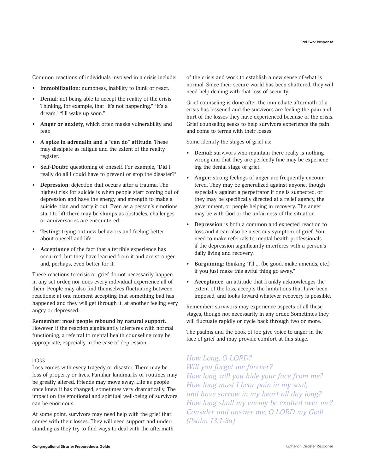Common reactions of individuals involved in a crisis include:

- Immobilization: numbness, inability to think or react.
- **Denial**: not being able to accept the reality of the crisis. Thinking, for example, that "It's not happening." "It's a dream." "I'll wake up soon."
- **Anger or anxiety**, which often masks vulnerability and fear.
- **A spike in adrenalin and a "can do" attitude**. These may dissipate as fatigue and the extent of the reality register.
- **Self-Doubt**: questioning of oneself. For example, "Did I really do all I could have to prevent or stop the disaster?"
- **Depression**: dejection that occurs after a trauma. The highest risk for suicide is when people start coming out of depression and have the energy and strength to make a suicide plan and carry it out. Even as a person's emotions start to lift there may be slumps as obstacles, challenges or anniversaries are encountered.
- **Testing**: trying out new behaviors and feeling better about oneself and life.
- **Acceptance** of the fact that a terrible experience has occurred, but they have learned from it and are stronger and, perhaps, even better for it.

These reactions to crisis or grief do not necessarily happen in any set order, nor does every individual experience all of them. People may also find themselves fluctuating between reactions: at one moment accepting that something bad has happened and they will get through it, at another feeling very angry or depressed.

#### **Remember: most people rebound by natural support.**

However, if the reaction significantly interferes with normal functioning, a referral to mental health counseling may be appropriate, especially in the case of depression.

# LOSS

Loss comes with every tragedy or disaster. There may be loss of property or lives. Familiar landmarks or routines may be greatly altered. Friends may move away. Life as people once knew it has changed, sometimes very dramatically. The impact on the emotional and spiritual well-being of survivors can be enormous.

At some point, survivors may need help with the grief that comes with their losses. They will need support and understanding as they try to find ways to deal with the aftermath of the crisis and work to establish a new sense of what is normal. Since their secure world has been shattered, they will need help dealing with that loss of security.

Grief counseling is done after the immediate aftermath of a crisis has lessened and the survivors are feeling the pain and hurt of the losses they have experienced because of the crisis. Grief counseling seeks to help survivors experience the pain and come to terms with their losses.

Some identify the stages of grief as:

- **Denial**: survivors who maintain there really is nothing wrong and that they are perfectly fine may be experiencing the denial stage of grief.
- **Anger**: strong feelings of anger are frequently encountered. They may be generalized against anyone, though especially against a perpetrator if one is suspected, or they may be specifically directed at a relief agency, the government, or people helping in recovery. The anger may be with God or the unfairness of the situation.
- **Depression** is both a common and expected reaction to loss and it can also be a serious symptom of grief. You need to make referrals to mental health professionals if the depression significantly interferes with a person's daily living and recovery.
- **Bargaining**: thinking "I'll … (be good, make amends, etc.) if you just make this awful thing go away."
- **Acceptance**: an attitude that frankly acknowledges the extent of the loss, accepts the limitations that have been imposed, and looks toward whatever recovery is possible.

Remember: survivors may experience aspects of all these stages, though not necessarily in any order. Sometimes they will fluctuate rapidly or cycle back through two or more.

The psalms and the book of Job give voice to anger in the face of grief and may provide comfort at this stage.

# *How Long, O LORD?*

*Will you forget me forever? How long will you hide your face from me? How long must I bear pain in my soul, and have sorrow in my heart all day long? How long shall my enemy be exalted over me? Consider and answer me, O LORD my God! (Psalm 13:1-3a)*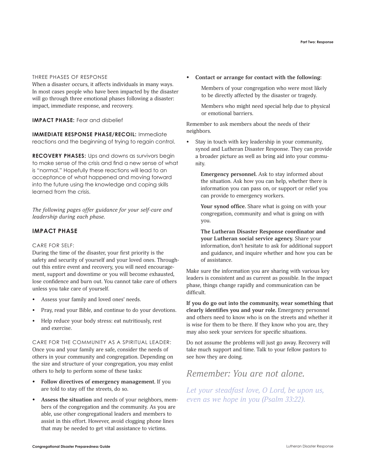#### THREE PHASES OF RESPONSE

When a disaster occurs, it affects individuals in many ways. In most cases people who have been impacted by the disaster will go through three emotional phases following a disaster: impact, immediate response, and recovery.

# **IMPACT PHASE:** Fear and disbelief

**IMMEDIATE RESPONSE PHASE/RECOIL:** Immediate reactions and the beginning of trying to regain control.

**RECOVERY PHASES:** Ups and downs as survivors begin to make sense of the crisis and find a new sense of what is "normal." Hopefully these reactions will lead to an acceptance of what happened and moving forward into the future using the knowledge and coping skills learned from the crisis.

*The following pages offer guidance for your self-care and leadership during each phase.*

# **IMPACT PHASE**

# CARE FOR SELF:

During the time of the disaster, your first priority is the safety and security of yourself and your loved ones. Throughout this entire event and recovery, you will need encouragement, support and downtime or you will become exhausted, lose confidence and burn out. You cannot take care of others unless you take care of yourself.

- Assess your family and loved ones' needs.
- Pray, read your Bible, and continue to do your devotions.
- Help reduce your body stress: eat nutritiously, rest and exercise.

CARE FOR THE COMMUNITY AS A SPIRITUAL LEADER: Once you and your family are safe, consider the needs of others in your community and congregation. Depending on the size and structure of your congregation, you may enlist others to help to perform some of these tasks:

- **• Follow directives of emergency management.** If you are told to stay off the streets, do so.
- **• Assess the situation** and needs of your neighbors, members of the congregation and the community. As you are able, use other congregational leaders and members to assist in this effort. However, avoid clogging phone lines that may be needed to get vital assistance to victims.

**• Contact or arrange for contact with the following:**

Members of your congregation who were most likely to be directly affected by the disaster or tragedy.

Members who might need special help due to physical or emotional barriers.

Remember to ask members about the needs of their neighbors.

Stay in touch with key leadership in your community, synod and Lutheran Disaster Response. They can provide a broader picture as well as bring aid into your community.

**Emergency personnel.** Ask to stay informed about the situation. Ask how you can help, whether there is information you can pass on, or support or relief you can provide to emergency workers.

**Your synod office.** Share what is going on with your congregation, community and what is going on with you.

**The Lutheran Disaster Response coordinator and your Lutheran social service agency.** Share your information, don't hesitate to ask for additional support and guidance, and inquire whether and how you can be of assistance.

Make sure the information you are sharing with various key leaders is consistent and as current as possible. In the impact phase, things change rapidly and communication can be difficult.

**If you do go out into the community, wear something that clearly identifies you and your role.** Emergency personnel and others need to know who is on the streets and whether it is wise for them to be there. If they know who you are, they may also seek your services for specific situations.

Do not assume the problems will just go away. Recovery will take much support and time. Talk to your fellow pastors to see how they are doing.

# *Remember: You are not alone.*

*Let your steadfast love, O Lord, be upon us, even as we hope in you (Psalm 33:22).*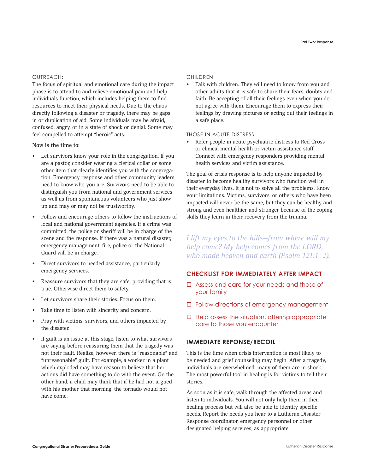## OUTREACH:

The focus of spiritual and emotional care during the impact phase is to attend to and relieve emotional pain and help individuals function, which includes helping them to find resources to meet their physical needs. Due to the chaos directly following a disaster or tragedy, there may be gaps in or duplication of aid. Some individuals may be afraid, confused, angry, or in a state of shock or denial. Some may feel compelled to attempt "heroic" acts.

## **Now is the time to:**

- Let survivors know your role in the congregation. If you are a pastor, consider wearing a clerical collar or some other item that clearly identifies you with the congregation. Emergency response and other community leaders need to know who you are. Survivors need to be able to distinguish you from national and government services as well as from spontaneous volunteers who just show up and may or may not be trustworthy.
- Follow and encourage others to follow the instructions of local and national government agencies. If a crime was committed, the police or sheriff will be in charge of the scene and the response. If there was a natural disaster, emergency management, fire, police or the National Guard will be in charge.
- Direct survivors to needed assistance, particularly emergency services.
- Reassure survivors that they are safe, providing that is true. Otherwise direct them to safety.
- Let survivors share their stories. Focus on them.
- Take time to listen with sincerity and concern.
- Pray with victims, survivors, and others impacted by the disaster.
- If guilt is an issue at this stage, listen to what survivors are saying before reassuring them that the tragedy was not their fault. Realize, however, there is "reasonable" and "unreasonable" guilt. For example, a worker in a plant which exploded may have reason to believe that her actions did have something to do with the event. On the other hand, a child may think that if he had not argued with his mother that morning, the tornado would not have come.

#### CHILDREN

Talk with children. They will need to know from you and other adults that it is safe to share their fears, doubts and faith. Be accepting of all their feelings even when you do not agree with them. Encourage them to express their feelings by drawing pictures or acting out their feelings in a safe place.

# THOSE IN ACUTE DISTRESS

Refer people in acute psychiatric distress to Red Cross or clinical mental health or victim assistance staff. Connect with emergency responders providing mental health services and victim assistance.

The goal of crisis response is to help anyone impacted by disaster to become healthy survivors who function well in their everyday lives. It is not to solve all the problems. Know your limitations. Victims, survivors, or others who have been impacted will never be the same, but they can be healthy and strong and even healthier and stronger because of the coping skills they learn in their recovery from the trauma.

*I lift my eyes to the hills—from where will my help come? My help comes from the LORD, who made heaven and earth (Psalm 121:1–2).*

# **CHECKLIST FOR IMMEDIATELY AFTER IMPACT**

- $\Box$  Assess and care for your needs and those of your family
- $\square$  Follow directions of emergency management
- $\Box$  Help assess the situation, offering appropriate care to those you encounter

# **IMMEDIATE REPONSE/RECOIL**

This is the time when crisis intervention is most likely to be needed and grief counseling may begin. After a tragedy, individuals are overwhelmed; many of them are in shock. The most powerful tool in healing is for victims to tell their stories.

As soon as it is safe, walk through the affected areas and listen to individuals. You will not only help them in their healing process but will also be able to identify specific needs. Report the needs you hear to a Lutheran Disaster Response coordinator, emergency personnel or other designated helping services, as appropriate.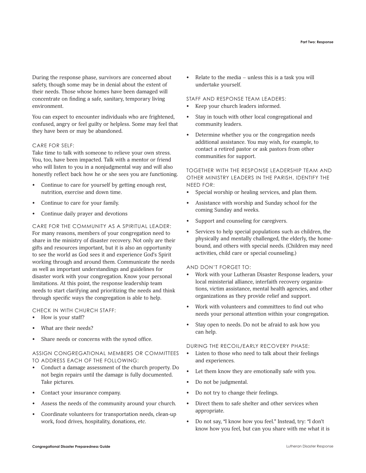During the response phase, survivors are concerned about safety, though some may be in denial about the extent of their needs. Those whose homes have been damaged will concentrate on finding a safe, sanitary, temporary living environment.

You can expect to encounter individuals who are frightened, confused, angry or feel guilty or helpless. Some may feel that they have been or may be abandoned.

# CARE FOR SELF:

Take time to talk with someone to relieve your own stress. You, too, have been impacted. Talk with a mentor or friend who will listen to you in a nonjudgmental way and will also honestly reflect back how he or she sees you are functioning.

- Continue to care for yourself by getting enough rest, nutrition, exercise and down time.
- Continue to care for your family.
- Continue daily prayer and devotions

CARE FOR THE COMMUNITY AS A SPIRITUAL LEADER: For many reasons, members of your congregation need to share in the ministry of disaster recovery. Not only are their gifts and resources important, but it is also an opportunity to see the world as God sees it and experience God's Spirit working through and around them. Communicate the needs as well as important understandings and guidelines for disaster work with your congregation. Know your personal limitations. At this point, the response leadership team needs to start clarifying and prioritizing the needs and think through specific ways the congregation is able to help.

#### CHECK IN WITH CHURCH STAFF:

- How is your staff?
- What are their needs?
- Share needs or concerns with the synod office.

ASSIGN CONGREGATIONAL MEMBERS OR COMMITTEES TO ADDRESS EACH OF THE FOLLOWING:

- Conduct a damage assessment of the church property. Do not begin repairs until the damage is fully documented. Take pictures.
- Contact your insurance company.
- Assess the needs of the community around your church.
- Coordinate volunteers for transportation needs, clean-up work, food drives, hospitality, donations, etc.

Relate to the media – unless this is a task you will undertake yourself.

#### STAFF AND RESPONSE TEAM LEADERS:

- Keep your church leaders informed.
- Stay in touch with other local congregational and community leaders.
- Determine whether you or the congregation needs additional assistance. You may wish, for example, to contact a retired pastor or ask pastors from other communities for support.

# TOGETHER WITH THE RESPONSE LEADERSHIP TEAM AND OTHER MINISTRY LEADERS IN THE PARISH, IDENTIFY THE NEED FOR:

- Special worship or healing services, and plan them.
- Assistance with worship and Sunday school for the coming Sunday and weeks.
- Support and counseling for caregivers.
- Services to help special populations such as children, the physically and mentally challenged, the elderly, the homebound, and others with special needs. (Children may need activities, child care or special counseling.)

#### AND DON'T FORGET TO:

- Work with your Lutheran Disaster Response leaders, your local ministerial alliance, interfaith recovery organizations, victim assistance, mental health agencies, and other organizations as they provide relief and support.
- Work with volunteers and committees to find out who needs your personal attention within your congregation.
- Stay open to needs. Do not be afraid to ask how you can help.

#### DURING THE RECOIL/EARLY RECOVERY PHASE:

- Listen to those who need to talk about their feelings and experiences.
- Let them know they are emotionally safe with you.
- Do not be judgmental.
- Do not try to change their feelings.
- Direct them to safe shelter and other services when appropriate.
- Do not say, "I know how you feel." Instead, try: "I don't know how you feel, but can you share with me what it is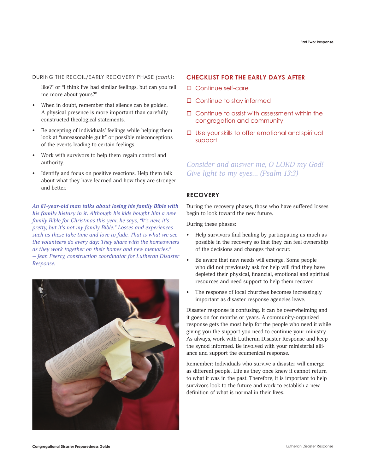#### DURING THE RECOIL/EARLY RECOVERY PHASE *(cont.)*:

like?" or "I think I've had similar feelings, but can you tell me more about yours?"

- When in doubt, remember that silence can be golden. A physical presence is more important than carefully constructed theological statements.
- Be accepting of individuals' feelings while helping them look at "unreasonable guilt" or possible misconceptions of the events leading to certain feelings.
- Work with survivors to help them regain control and authority.
- Identify and focus on positive reactions. Help them talk about what they have learned and how they are stronger and better.

*An 81-year-old man talks about losing his family Bible with his family history in it. Although his kids bought him a new family Bible for Christmas this year, he says, "It's new, it's pretty, but it's not my family Bible." Losses and experiences such as these take time and love to fade. That is what we see the volunteers do every day: They share with the homeowners as they work together on their homes and new memories." — Jean Peercy, construction coordinator for Lutheran Disaster Response.*



## **CHECKLIST FOR THE EARLY DAYS AFTER**

- $\square$  Continue self-care
- $\Box$  Continue to stay informed
- $\Box$  Continue to assist with assessment within the congregation and community
- $\square$  Use your skills to offer emotional and spiritual support

# *Consider and answer me, O LORD my God! Give light to my eyes... (Psalm 13:3)*

# **RECOVERY**

During the recovery phases, those who have suffered losses begin to look toward the new future.

During these phases:

- Help survivors find healing by participating as much as possible in the recovery so that they can feel ownership of the decisions and changes that occur.
- Be aware that new needs will emerge. Some people who did not previously ask for help will find they have depleted their physical, financial, emotional and spiritual resources and need support to help them recover.
- The response of local churches becomes increasingly important as disaster response agencies leave.

Disaster response is confusing. It can be overwhelming and it goes on for months or years. A community-organized response gets the most help for the people who need it while giving you the support you need to continue your ministry. As always, work with Lutheran Disaster Response and keep the synod informed. Be involved with your ministerial alliance and support the ecumenical response.

Remember: Individuals who survive a disaster will emerge as different people. Life as they once knew it cannot return to what it was in the past. Therefore, it is important to help survivors look to the future and work to establish a new definition of what is normal in their lives.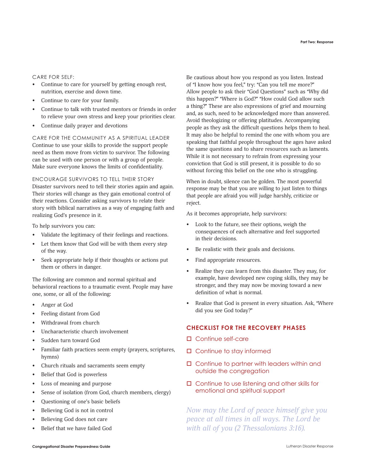#### CARE FOR SELF:

- Continue to care for yourself by getting enough rest, nutrition, exercise and down time.
- Continue to care for your family.
- Continue to talk with trusted mentors or friends in order to relieve your own stress and keep your priorities clear.
- Continue daily prayer and devotions

CARE FOR THE COMMUNITY AS A SPIRITUAL LEADER Continue to use your skills to provide the support people need as them move from victim to survivor. The following can be used with one person or with a group of people. Make sure everyone knows the limits of confidentiality.

#### ENCOURAGE SURVIVORS TO TELL THEIR STORY

Disaster survivors need to tell their stories again and again. Their stories will change as they gain emotional control of their reactions. Consider asking survivors to relate their story with biblical narratives as a way of engaging faith and realizing God's presence in it.

To help survivors you can:

- Validate the legitimacy of their feelings and reactions.
- Let them know that God will be with them every step of the way.
- Seek appropriate help if their thoughts or actions put them or others in danger.

The following are common and normal spiritual and behavioral reactions to a traumatic event. People may have one, some, or all of the following:

- Anger at God
- Feeling distant from God
- Withdrawal from church
- Uncharacteristic church involvement
- Sudden turn toward God
- Familiar faith practices seem empty (prayers, scriptures, hymns)
- Church rituals and sacraments seem empty
- Belief that God is powerless
- Loss of meaning and purpose
- Sense of isolation (from God, church members, clergy)
- Questioning of one's basic beliefs
- Believing God is not in control
- Believing God does not care
- Belief that we have failed God

Be cautious about how you respond as you listen. Instead of "I know how you feel," try: "Can you tell me more?" Allow people to ask their "God Questions" such as "Why did this happen?" "Where is God?" "How could God allow such a thing?" These are also expressions of grief and mourning and, as such, need to be acknowledged more than answered. Avoid theologizing or offering platitudes. Accompanying people as they ask the difficult questions helps them to heal. It may also be helpful to remind the one with whom you are speaking that faithful people throughout the ages have asked the same questions and to share resources such as laments. While it is not necessary to refrain from expressing your conviction that God is still present, it is possible to do so without forcing this belief on the one who is struggling.

When in doubt, silence can be golden. The most powerful response may be that you are willing to just listen to things that people are afraid you will judge harshly, criticize or reject.

As it becomes appropriate, help survivors:

- Look to the future, see their options, weigh the consequences of each alternative and feel supported in their decisions.
- Be realistic with their goals and decisions.
- Find appropriate resources.
- Realize they can learn from this disaster. They may, for example, have developed new coping skills, they may be stronger, and they may now be moving toward a new definition of what is normal.
- Realize that God is present in every situation. Ask, "Where did you see God today?"

# **CHECKLIST FOR THE RECOVERY PHASES**

- $\square$  Continue self-care
- $\Box$  Continue to stay informed
- $\Box$  Continue to partner with leaders within and outside the congregation
- $\Box$  Continue to use listening and other skills for emotional and spiritual support

*Now may the Lord of peace himself give you peace at all times in all ways. The Lord be with all of you (2 Thessalonians 3:16).*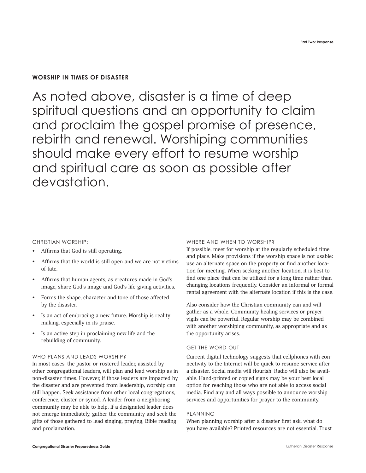# **WORSHIP IN TIMES OF DISASTER**

As noted above, disaster is a time of deep spiritual questions and an opportunity to claim and proclaim the gospel promise of presence, rebirth and renewal. Worshiping communities should make every effort to resume worship and spiritual care as soon as possible after devastation.

# CHRISTIAN WORSHIP:

- Affirms that God is still operating.
- Affirms that the world is still open and we are not victims of fate.
- Affirms that human agents, as creatures made in God's image, share God's image and God's life-giving activities.
- Forms the shape, character and tone of those affected by the disaster.
- Is an act of embracing a new future. Worship is reality making, especially in its praise.
- Is an active step in proclaiming new life and the rebuilding of community.

# WHO PLANS AND LEADS WORSHIP?

In most cases, the pastor or rostered leader, assisted by other congregational leaders, will plan and lead worship as in non-disaster times. However, if those leaders are impacted by the disaster and are prevented from leadership, worship can still happen. Seek assistance from other local congregations, conference, cluster or synod. A leader from a neighboring community may be able to help. If a designated leader does not emerge immediately, gather the community and seek the gifts of those gathered to lead singing, praying, Bible reading and proclamation.

### WHERE AND WHEN TO WORSHIP?

If possible, meet for worship at the regularly scheduled time and place. Make provisions if the worship space is not usable: use an alternate space on the property or find another location for meeting. When seeking another location, it is best to find one place that can be utilized for a long time rather than changing locations frequently. Consider an informal or formal rental agreement with the alternate location if this is the case.

Also consider how the Christian community can and will gather as a whole. Community healing services or prayer vigils can be powerful. Regular worship may be combined with another worshiping community, as appropriate and as the opportunity arises.

#### GET THE WORD OUT

Current digital technology suggests that cellphones with connectivity to the Internet will be quick to resume service after a disaster. Social media will flourish. Radio will also be available. Hand-printed or copied signs may be your best local option for reaching those who are not able to access social media. Find any and all ways possible to announce worship services and opportunities for prayer to the community.

## PLANNING

When planning worship after a disaster first ask, what do you have available? Printed resources are not essential. Trust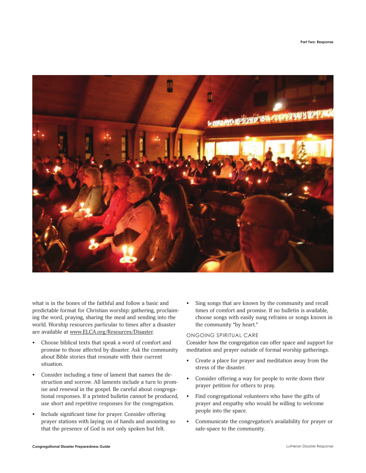

what is in the bones of the faithful and follow a basic and predictable format for Christian worship: gathering, proclaiming the word, praying, sharing the meal and sending into the world. Worship resources particular to times after a disaster are available at www.ELCA.org/Resources/Disaster.

- Choose biblical texts that speak a word of comfort and promise to those affected by disaster. Ask the community about Bible stories that resonate with their current situation.
- Consider including a time of lament that names the destruction and sorrow. All laments include a turn to promise and renewal in the gospel. Be careful about congregational responses. If a printed bulletin cannot be produced, use short and repetitive responses for the congregation.
- Include significant time for prayer. Consider offering prayer stations with laying on of hands and anointing so that the presence of God is not only spoken but felt.

• Sing songs that are known by the community and recall times of comfort and promise. If no bulletin is available, choose songs with easily sung refrains or songs known in the community "by heart."

# ONGOING SPIRITUAL CARE

Consider how the congregation can offer space and support for meditation and prayer outside of formal worship gatherings.

- Create a place for prayer and meditation away from the stress of the disaster.
- Consider offering a way for people to write down their prayer petition for others to pray.
- Find congregational volunteers who have the gifts of prayer and empathy who would be willing to welcome people into the space.
- Communicate the congregation's availability for prayer or safe-space to the community.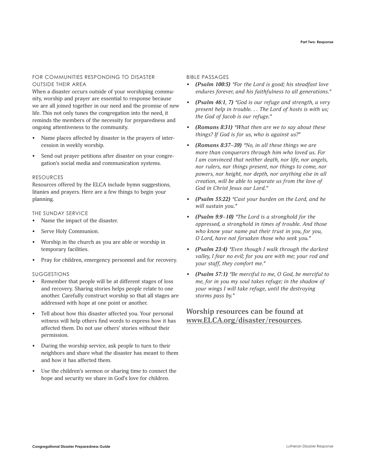### FOR COMMUNITIES RESPONDING TO DISASTER OUTSIDE THEIR AREA

When a disaster occurs outside of your worshiping community, worship and prayer are essential to response because we are all joined together in our need and the promise of new life. This not only tunes the congregation into the need, it reminds the members of the necessity for preparedness and ongoing attentiveness to the community.

- Name places affected by disaster in the prayers of intercession in weekly worship.
- Send out prayer petitions after disaster on your congregation's social media and communication systems.

#### RESOURCES

Resources offered by the ELCA include hymn suggestions, litanies and prayers. Here are a few things to begin your planning.

# THE SUNDAY SERVICE

- Name the impact of the disaster.
- Serve Holy Communion.
- Worship in the church as you are able or worship in temporary facilities.
- Pray for children, emergency personnel and for recovery.

# SUGGESTIONS

- Remember that people will be at different stages of loss and recovery. Sharing stories helps people relate to one another. Carefully construct worship so that all stages are addressed with hope at one point or another.
- Tell about how this disaster affected you. Your personal witness will help others find words to express how it has affected them. Do not use others' stories without their permission.
- During the worship service, ask people to turn to their neighbors and share what the disaster has meant to them and how it has affected them.
- Use the children's sermon or sharing time to connect the hope and security we share in God's love for children.

#### BIBLE PASSAGES

- *• (Psalm 100:5) "For the Lord is good; his steadfast love endures forever, and his faithfulness to all generations."*
- *• (Psalm 46:1, 7) "God is our refuge and strength, a very present help in trouble. . . The Lord of hosts is with us; the God of Jacob is our refuge."*
- *• (Romans 8:31) "What then are we to say about these things? If God is for us, who is against us?"*
- *• (Romans 8:37–39) "No, in all these things we are more than conquerors through him who loved us. For I am convinced that neither death, nor life, nor angels, nor rulers, nor things present, nor things to come, nor powers, nor height, nor depth, nor anything else in all creation, will be able to separate us from the love of God in Christ Jesus our Lord."*
- *• (Psalm 55:22) "Cast your burden on the Lord, and he will sustain you."*
- *• (Psalm 9:9–10) "The Lord is a stronghold for the oppressed, a stronghold in times of trouble. And those who know your name put their trust in you, for you, O Lord, have not forsaken those who seek you."*
- *• (Psalm 23:4) "Even though I walk through the darkest valley, I fear no evil; for you are with me; your rod and your staff, they comfort me."*
- *• (Psalm 57:1) "Be merciful to me, O God, be merciful to me, for in you my soul takes refuge; in the shadow of your wings I will take refuge, until the destroying storms pass by."*

# **Worship resources can be found at www.ELCA.org/disaster/resources.**